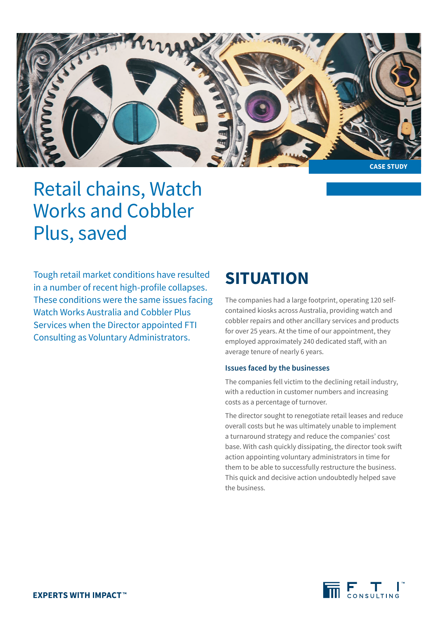

# Retail chains, Watch Works and Cobbler Plus, saved

Tough retail market conditions have resulted in a number of recent high-profile collapses. These conditions were the same issues facing Watch Works Australia and Cobbler Plus Services when the Director appointed FTI Consulting as Voluntary Administrators.

## **SITUATION**

The companies had a large footprint, operating 120 selfcontained kiosks across Australia, providing watch and cobbler repairs and other ancillary services and products for over 25 years. At the time of our appointment, they employed approximately 240 dedicated staff, with an average tenure of nearly 6 years.

### **Issues faced by the businesses**

The companies fell victim to the declining retail industry, with a reduction in customer numbers and increasing costs as a percentage of turnover.

The director sought to renegotiate retail leases and reduce overall costs but he was ultimately unable to implement a turnaround strategy and reduce the companies' cost base. With cash quickly dissipating, the director took swift action appointing voluntary administrators in time for them to be able to successfully restructure the business. This quick and decisive action undoubtedly helped save the business.